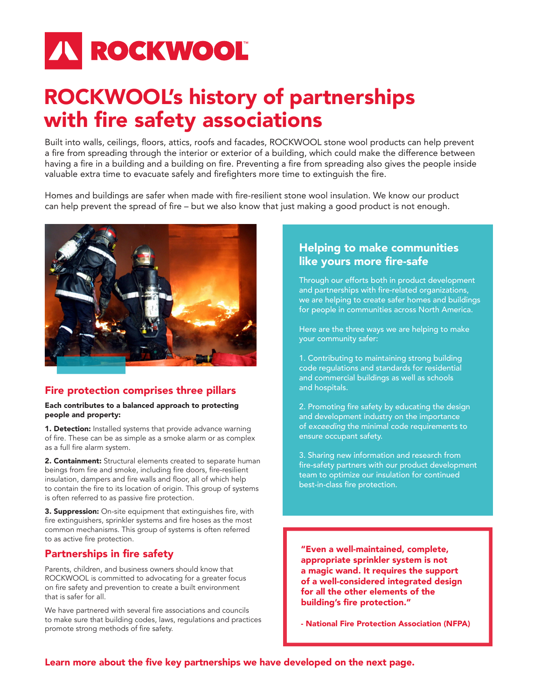# **IN ROCKWOOL**

# ROCKWOOL's history of partnerships with fire safety associations

Built into walls, ceilings, floors, attics, roofs and facades, ROCKWOOL stone wool products can help prevent a fire from spreading through the interior or exterior of a building, which could make the difference between having a fire in a building and a building on fire. Preventing a fire from spreading also gives the people inside valuable extra time to evacuate safely and firefighters more time to extinguish the fire.

Homes and buildings are safer when made with fire-resilient stone wool insulation. We know our product can help prevent the spread of fire – but we also know that just making a good product is not enough.



# Fire protection comprises three pillars

#### Each contributes to a balanced approach to protecting people and property:

**1. Detection:** Installed systems that provide advance warning of fire. These can be as simple as a smoke alarm or as complex as a full fire alarm system.

2. Containment: Structural elements created to separate human beings from fire and smoke, including fire doors, fire-resilient insulation, dampers and fire walls and floor, all of which help to contain the fire to its location of origin. This group of systems is often referred to as passive fire protection.

3. Suppression: On-site equipment that extinguishes fire, with fire extinguishers, sprinkler systems and fire hoses as the most common mechanisms. This group of systems is often referred to as active fire protection.

# Partnerships in fire safety

Parents, children, and business owners should know that ROCKWOOL is committed to advocating for a greater focus on fire safety and prevention to create a built environment that is safer for all.

We have partnered with several fire associations and councils to make sure that building codes, laws, regulations and practices promote strong methods of fire safety.

# Helping to make communities like yours more fire-safe

Through our efforts both in product development and partnerships with fire-related organizations, we are helping to create safer homes and buildings for people in communities across North America.

Here are the three ways we are helping to make your community safer:

1. Contributing to maintaining strong building code regulations and standards for residential and commercial buildings as well as schools and hospitals.

2. Promoting fire safety by educating the design and development industry on the importance of e*xceeding* the minimal code requirements to ensure occupant safety.

3. Sharing new information and research from fire-safety partners with our product development team to optimize our insulation for continued best-in-class fire protection.

"Even a well-maintained, complete, appropriate sprinkler system is not a magic wand. It requires the support of a well-considered integrated design for all the other elements of the building's fire protection."

- National Fire Protection Association (NFPA)

Learn more about the five key partnerships we have developed on the next page.